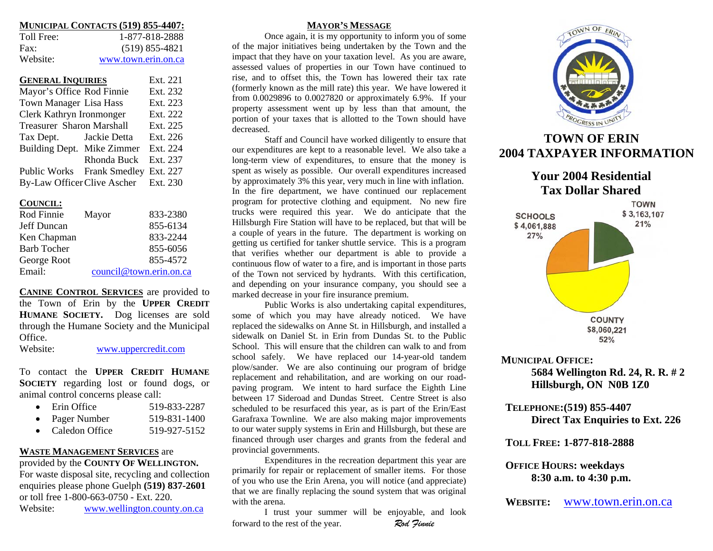| MUNICIPAL CONTACTS (519) 855-4407: |
|------------------------------------|
|------------------------------------|

| Toll Free: | 1-877-818-2888      |
|------------|---------------------|
| Fax:       | $(519)$ 855-4821    |
| Website:   | www.town.erin.on.ca |

| <b>GENERAL INQUIRIES</b>         | Ext. 221                             |          |
|----------------------------------|--------------------------------------|----------|
| Mayor's Office Rod Finnie        |                                      | Ext. 232 |
| Town Manager Lisa Hass           | Ext. 223                             |          |
| Clerk Kathryn Ironmonger         | Ext. 222                             |          |
| <b>Treasurer Sharon Marshall</b> | Ext. 225                             |          |
| Tax Dept. Jackie Detta           |                                      | Ext. 226 |
| Building Dept. Mike Zimmer       |                                      | Ext. 224 |
|                                  | Rhonda Buck                          | Ext. 237 |
|                                  | Public Works Frank Smedley Ext. 227  |          |
|                                  | By-Law Officer Clive Ascher Ext. 230 |          |

### **COUNCIL:**

| Rod Finnie  | Mayor                   | 833-2380 |
|-------------|-------------------------|----------|
| Jeff Duncan |                         | 855-6134 |
| Ken Chapman |                         | 833-2244 |
| Barb Tocher |                         | 855-6056 |
| George Root |                         | 855-4572 |
| Email:      | council@town.erin.on.ca |          |

**CANINE CONTROL SERVICES** are provided to the Town of Erin by the **UPPER CREDIT HUMANE SOCIETY.** Dog licenses are sold through the Hu mane Society and t he Municipal **Office** 

Website: <u>[www.uppercredit.co](http://www.uppercredit.com/)m</u>

To contact the **UPPER CREDIT HUMANESOCIETY** regarding lost or found dogs, or ani mal control concerns please call:

| Erin Office | 519-833-2287 |
|-------------|--------------|
|             |              |

- Pager Number mber 519-831-1400
- Caledon Office  $519-927-5152$

### **WASTE MANAGEMENT SERVICES** are

provided b y t he **COUNTY OF WELLINGTON.** For waste disposal site, rec ycling and collection enquiries please phone Guelph **(519) 8 3 7-2601** or toll free 1-800-663-0750 - Ext. 220. Website:[www.wellington.county.on.ca](http://www.wellington.county.on.ca/)

### **MAYOR'S MESSAGE**

Once again, it is my o p portunity to inform yo u of so me of the major i nitiatives being undertaken b y the Town an d the impact t hat t hey have on your taxation level. As you are a ware, assessed val ues of properties i n our Town have continued to rise, a nd to offset this, the To wn has lowered their tax rate (formerly k nown as the mill rate) this year. We have lowered it from 0.0029896 to 0.0027820 or approximately 6.9%. If your propert y assessment went up by less t han t hat amount, t he portion of your taxes that is allotted to the Town should have decreased.

Staff and Council have worked diligently to ensure that our expe nditures are kept to a reaso nable level. We also take along-term view of expenditures, to ensure that the money is spe nt as wisel y as possible. Our overall expenditures increased b y approximately 3 % this year, very m uch i n line with inflatio n. In the fire department, we have continued our replacement program for protective clothing and equipment. No new fire trucks were req uired this year. We do anticipate that the Hillsburgh Fire Station will have to be replaced, but that will be a couple of years in the future. T he department is wor king on getting us certified for tan ker sh uttle service. This is a program that verifies whether o ur department is able to provide a co ntinuous flow of water to a fire, and is i mportant i n those parts of the Town not serviced b y hydrants. With this certification, and depending on your i nsurance co mpany, you sho uld see a marked decrease in your fire i nsurance premium.

Public Works is also u n dertaking capital expenditures, some of which you may have already noticed. We have replaced the si dewal ks on Anne St. in Hillsburgh, and i nstalled a sidewalk on Daniel St. in Erin fro m Dundas St. to the Public School. This will ensure that the children can walk to and fromschool safel y. We have replaced o ur 14-year-ol d tandem plow/sander. We are also continui ng our program of bridge replacement and rehabilitation, and are working on our roa dpaving progra m. We i ntent to har d s urface t he Eighth Line between 17 Sideroad an d Dundas Street. Centre Street is alsoscheduled to be res urfaced t his year, as is part of the Erin/East Garafraxa Townline. We are also making major i mpro vements to o ur water sup ply syste ms i n Erin and Hillsb urgh, b ut these are financed through user c harges and grants from t he federal and provincial gover nments.

Expenditures in the recreation department t his year are primarily for repair or replace ment of smaller ite ms. For those of you who use the Erin Arena, you will notice (an d appreciate) that we are finally replacing the sound syste m that was original with the arena.

I trust your summer will be enjoyable, and loo k forward to the rest of the year. *Rod Finnie* 



# **TOWN OF ERIN2004 TAXPAYER INFORMATION**

## **Your 2004 Residential Tax Dollar Shared**



### **MUNICIPALOFFICE: 5684 Wellington Rd. 24, R. R. # 2 Hillsburgh, ON N0B 1Z0**

**TELEPHONE: (519) 855-4407 Direct Tax Enquiries to Ext. 226** 

**TOLL FREE: 1-877-818-2888**

### **OFFICEHOURS: weekdays 8:30 a.m. to 4:30 p.m.**

**WEBSITE: E:** [www.town.erin.on.ca](http://www.town.erin.on.ca/)